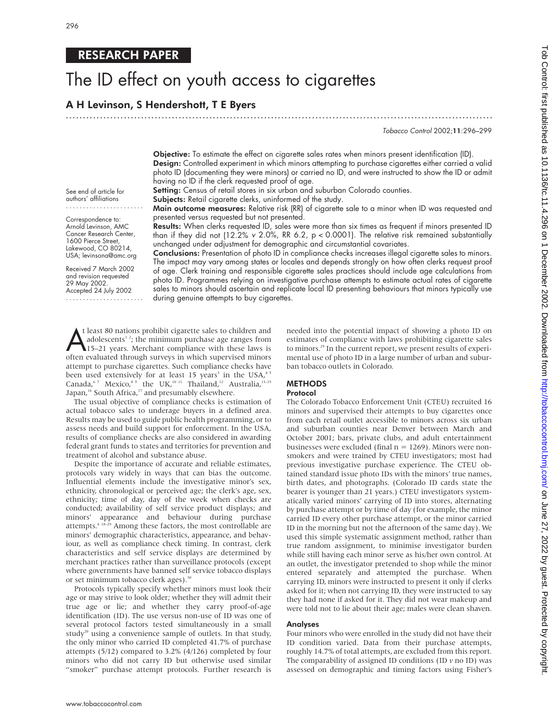# RESEARCH PAPER

# The ID effect on youth access to cigarettes

# A H Levinson, S Hendershott, T E Byers

.............................................................................................................................

Tobacco Control 2002;11:296–299

Objective: To estimate the effect on cigarette sales rates when minors present identification (ID). Design: Controlled experiment in which minors attempting to purchase cigarettes either carried a valid photo ID (documenting they were minors) or carried no ID, and were instructed to show the ID or admit having no ID if the clerk requested proof of age.

Setting: Census of retail stores in six urban and suburban Colorado counties.

Subjects: Retail cigarette clerks, uninformed of the study.

Main outcome measures: Relative risk (RR) of cigarette sale to a minor when ID was requested and presented versus requested but not presented.

....................... Correspondence to: Arnold Levinson, AMC Cancer Research Center, 1600 Pierce Street, Lakewood, CO 80214,

See end of article for authors' affiliations

USA; levinsona@amc.org Received 7 March 2002 and revision requested 29 May 2002. Accepted 24 July 2002

.......................

Results: When clerks requested ID, sales were more than six times as frequent if minors presented ID than if they did not (12.2% v 2.0%, RR 6.2,  $p < 0.0001$ ). The relative risk remained substantially unchanged under adjustment for demographic and circumstantial covariates.

Conclusions: Presentation of photo ID in compliance checks increases illegal cigarette sales to minors. The impact may vary among states or locales and depends strongly on how often clerks request proof of age. Clerk training and responsible cigarette sales practices should include age calculations from photo ID. Programmes relying on investigative purchase attempts to estimate actual rates of cigarette sales to minors should ascertain and replicate local ID presenting behaviours that minors typically use during genuine attempts to buy cigarettes.

t least 80 nations prohibit cigarette sales to children and<br>adolescents<sup>1</sup>?; the minimum purchase age ranges from<br>15–21 years. Merchant compliance with these laws is<br>often evaluated through surveys in which supervised mino t least 80 nations prohibit cigarette sales to children and adolescents<sup>12</sup>; the minimum purchase age ranges from 15–21 years. Merchant compliance with these laws is attempt to purchase cigarettes. Such compliance checks have been used extensively for at least 15 years<sup>3</sup> in the USA,<sup>45</sup> Canada,<sup>67</sup> Mexico,<sup>89</sup> the UK,<sup>10 11</sup> Thailand,<sup>12</sup> Australia,<sup>13-15</sup> Japan,<sup>16</sup> South Africa,<sup>17</sup> and presumably elsewhere.

The usual objective of compliance checks is estimation of actual tobacco sales to underage buyers in a defined area. Results may be used to guide public health programming, or to assess needs and build support for enforcement. In the USA, results of compliance checks are also considered in awarding federal grant funds to states and territories for prevention and treatment of alcohol and substance abuse.

Despite the importance of accurate and reliable estimates, protocols vary widely in ways that can bias the outcome. Influential elements include the investigative minor's sex, ethnicity, chronological or perceived age; the clerk's age, sex, ethnicity; time of day, day of the week when checks are conducted; availability of self service product displays; and minors' appearance and behaviour during purchase attempts.<sup>4 18–29</sup> Among these factors, the most controllable are minors' demographic characteristics, appearance, and behaviour, as well as compliance check timing. In contrast, clerk characteristics and self service displays are determined by merchant practices rather than surveillance protocols (except where governments have banned self service tobacco displays or set minimum tobacco clerk ages).<sup>30</sup>

Protocols typically specify whether minors must look their age or may strive to look older; whether they will admit their true age or lie; and whether they carry proof-of-age identification (ID). The use versus non-use of ID was one of several protocol factors tested simultaneously in a small study<sup>20</sup> using a convenience sample of outlets. In that study, the only minor who carried ID completed 41.7% of purchase attempts (5/12) compared to 3.2% (4/126) completed by four minors who did not carry ID but otherwise used similar "smoker" purchase attempt protocols. Further research is

needed into the potential impact of showing a photo ID on estimates of compliance with laws prohibiting cigarette sales to minors.29 In the current report, we present results of experimental use of photo ID in a large number of urban and suburban tobacco outlets in Colorado.

# **METHODS**

#### Protocol

The Colorado Tobacco Enforcement Unit (CTEU) recruited 16 minors and supervised their attempts to buy cigarettes once from each retail outlet accessible to minors across six urban and suburban counties near Denver between March and October 2001; bars, private clubs, and adult entertainment businesses were excluded (final  $n = 1269$ ). Minors were nonsmokers and were trained by CTEU investigators; most had previous investigative purchase experience. The CTEU obtained standard issue photo IDs with the minors' true names, birth dates, and photographs. (Colorado ID cards state the bearer is younger than 21 years.) CTEU investigators systematically varied minors' carrying of ID into stores, alternating by purchase attempt or by time of day (for example, the minor carried ID every other purchase attempt, or the minor carried ID in the morning but not the afternoon of the same day). We used this simple systematic assignment method, rather than true random assignment, to minimise investigator burden while still having each minor serve as his/her own control. At an outlet, the investigator pretended to shop while the minor entered separately and attempted the purchase. When carrying ID, minors were instructed to present it only if clerks asked for it; when not carrying ID, they were instructed to say they had none if asked for it. They did not wear makeup and were told not to lie about their age; males were clean shaven.

#### Analyses

Four minors who were enrolled in the study did not have their ID condition varied. Data from their purchase attempts, roughly 14.7% of total attempts, are excluded from this report. The comparability of assigned ID conditions (ID *v* no ID) was assessed on demographic and timing factors using Fisher's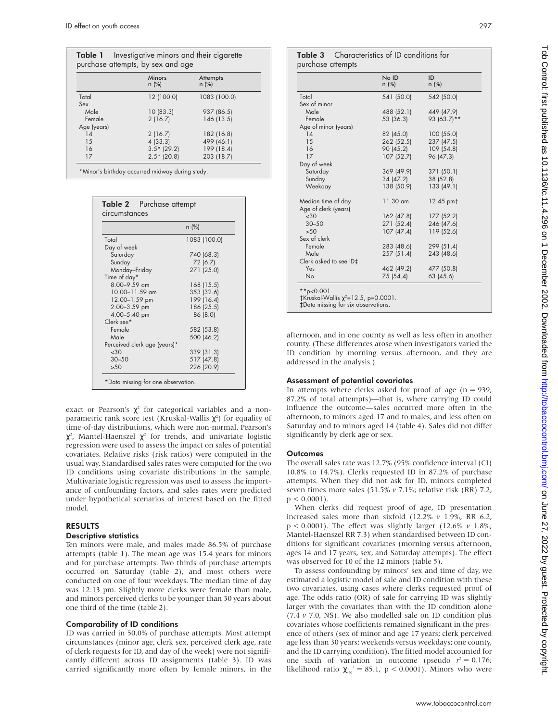|             | <b>Minors</b><br>$n$ (%) | Attempts<br>$n$ (%) |
|-------------|--------------------------|---------------------|
| Total       | 12 (100.0)               | 1083 (100.0)        |
| Sex         |                          |                     |
| Male        | 10(83.3)                 | 937 (86.5)          |
| Female      | 2(16.7)                  | 146 (13.5)          |
| Age (years) |                          |                     |
| 14          | 2(16.7)                  | 182 (16.8)          |
| 15          | 4(33.3)                  | 499 (46.1)          |
| 16          | $3.5*$ (29.2)            | 199 (18.4)          |
| 17          | $2.5*$ (20.8)            | 203 (18.7)          |

|                              | $n$ (%)      |
|------------------------------|--------------|
| Total                        | 1083 (100.0) |
| Day of week                  |              |
| Saturday                     | 740 (68.3)   |
| Sunday                       | 72 (6.7)     |
| Monday-Friday                | 271 (25.0)   |
| Time of day*                 |              |
| $8.00 - 9.59$ am             | 168 (15.5)   |
| $10.00 - 11.59$ am           | 353 (32.6)   |
| 12.00-1.59 pm                | 199 (16.4)   |
| 2.00-3.59 pm                 | 186 (25.5)   |
| 4.00-5.40 pm                 | 86 (8.0)     |
| Clerk sex*                   |              |
| Female                       | 582 (53.8)   |
| Male                         | 500 (46.2)   |
| Perceived clerk age (years)* |              |
| &30                          | 339 (31.3)   |
| $30 - 50$                    | 517 (47.8)   |
| >50                          | 226 (20.9)   |

exact or Pearson's  $\chi^2$  for categorical variables and a nonparametric rank score test (Kruskal-Wallis  $\chi^2$ ) for equality of time-of-day distributions, which were non-normal. Pearson's  $\chi^2$ , Mantel-Haenszel  $\chi^2$  for trends, and univariate logistic regression were used to assess the impact on sales of potential covariates. Relative risks (risk ratios) were computed in the usual way. Standardised sales rates were computed for the two ID conditions using covariate distributions in the sample. Multivariate logistic regression was used to assess the importance of confounding factors, and sales rates were predicted under hypothetical scenarios of interest based on the fitted model.

# RESULTS

# Descriptive statistics

Ten minors were male, and males made 86.5% of purchase attempts (table 1). The mean age was 15.4 years for minors and for purchase attempts. Two thirds of purchase attempts occurred on Saturday (table 2), and most others were conducted on one of four weekdays. The median time of day was 12:13 pm. Slightly more clerks were female than male, and minors perceived clerks to be younger than 30 years about one third of the time (table 2).

# Comparability of ID conditions

ID was carried in 50.0% of purchase attempts. Most attempt circumstances (minor age, clerk sex, perceived clerk age, rate of clerk requests for ID, and day of the week) were not significantly different across ID assignments (table 3). ID was carried significantly more often by female minors, in the

Table 3 Characteristics of ID conditions for purchase attempts

|                        | No ID<br>n (%) | ID<br>$n$ (%)         |
|------------------------|----------------|-----------------------|
| Total                  | 541 (50.0)     | 542 (50.0)            |
| Sex of minor           |                |                       |
| Male                   | 488 (52.1)     | 449 (47.9)            |
| Female                 | 53 (36.3)      | 93 (63.7)**           |
| Age of minor (years)   |                |                       |
| 14                     | 82 (45.0)      | 100(55.0)             |
| 15                     | 262 (52.5)     | 237 (47.5)            |
| 16                     | 90 (45.2)      | 109 (54.8)            |
| 17                     | 107(52.7)      | 96 (47.3)             |
| Day of week            |                |                       |
| Saturday               | 369 (49.9)     | 371 (50.1)            |
| Sunday                 | 34 (47.2)      | 38 (52.8)             |
| Weekday                | 138 (50.9)     | 133 (49.1)            |
| Median time of day     | $11.30$ am     | 12.45 pm <sup>+</sup> |
| Age of clerk (years)   |                |                       |
| ~1,30                  | 162 (47.8)     | 177 (52.2)            |
| $30 - 50$              | 271 (52.4)     | 246 (47.6)            |
| >50                    | 107(47.4)      | 119 (52.6)            |
| Sex of clerk           |                |                       |
| Female                 | 283 (48.6)     | 299 (51.4)            |
| Male                   | 257(51.4)      | 243 (48.6)            |
| Clerk asked to see ID‡ |                |                       |
| Yes                    | 462 (49.2)     | 477 (50.8)            |
| <b>No</b>              | 75 (54.4)      | 63 (45.6)             |

afternoon, and in one county as well as less often in another county. (These differences arose when investigators varied the ID condition by morning versus afternoon, and they are addressed in the analysis.)

# Assessment of potential covariates

In attempts where clerks asked for proof of age ( $n = 939$ , 87.2% of total attempts)—that is, where carrying ID could influence the outcome—sales occurred more often in the afternoon, to minors aged 17 and to males, and less often on Saturday and to minors aged 14 (table 4). Sales did not differ significantly by clerk age or sex.

# **Outcomes**

The overall sales rate was 12.7% (95% confidence interval (CI) 10.8% to 14.7%). Clerks requested ID in 87.2% of purchase attempts. When they did not ask for ID, minors completed seven times more sales (51.5% *v* 7.1%; relative risk (RR) 7.2,  $p < 0.0001$ ).

When clerks did request proof of age, ID presentation increased sales more than sixfold (12.2% *v* 1.9%; RR 6.2, p < 0.0001). The effect was slightly larger (12.6% *v* 1.8%; Mantel-Haenszel RR 7.3) when standardised between ID conditions for significant covariates (morning versus afternoon, ages 14 and 17 years, sex, and Saturday attempts). The effect was observed for 10 of the 12 minors (table 5).

To assess confounding by minors' sex and time of day, we estimated a logistic model of sale and ID condition with these two covariates, using cases where clerks requested proof of age. The odds ratio (OR) of sale for carrying ID was slightly larger with the covariates than with the ID condition alone (7.4 *v* 7.0, NS). We also modelled sale on ID condition plus covariates whose coefficients remained significant in the presence of others (sex of minor and age 17 years; clerk perceived age less than 30 years; weekends versus weekdays; one county, and the ID carrying condition). The fitted model accounted for one sixth of variation in outcome (pseudo  $r^2 = 0.176$ ; likelihood ratio  $\chi_{(6)}^2 = 85.1$ , p < 0.0001). Minors who were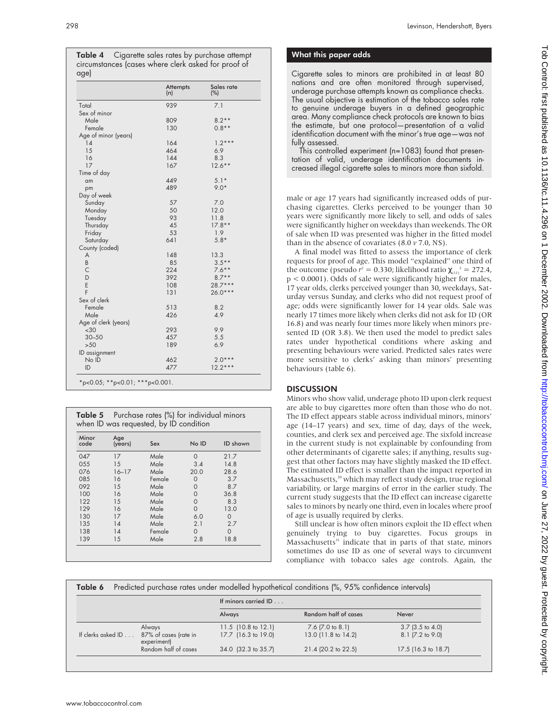Table 4 Cigarette sales rates by purchase attempt circumstances (cases where clerk asked for proof of dge)

|                      | Attempts<br>(n) | Sales rate<br>(%) |
|----------------------|-----------------|-------------------|
| Total                | 939             | 7.1               |
| Sex of minor         |                 |                   |
| Male                 | 809             | $8.2**$           |
| Female               | 130             | $0.8**$           |
| Age of minor (years) |                 |                   |
| 14                   | 164             | $1.2***$          |
| 15                   | 464             | 6.9               |
| 16                   | 144             | 8.3               |
| 17                   | 167             | $12.6***$         |
| Time of day          |                 |                   |
| am                   | 449             | $5.1*$            |
| pm                   | 489             | $9.0*$            |
| Day of week          |                 |                   |
| Sunday               | 57              | 7.0               |
| Monday               | 50              | 12.0              |
| Tuesday              | 93              | 11.8              |
| Thursday             | 45              | $17.8**$          |
| Friday               | 53              | 1.9               |
| Saturday             | 641             | $5.8*$            |
| County (coded)       |                 |                   |
| A                    | 148             | 13.3              |
| B                    | 85              | $3.5**$           |
| C                    | 224             | $7.6***$          |
| D                    | 392             | $8.7**$           |
| E                    | 108             | $28.7***$         |
| F                    | 131             | $26.0***$         |
| Sex of clerk         |                 |                   |
| Female               | 513             | 8.2               |
| Male                 | 426             | 4.9               |
| Age of clerk (years) |                 |                   |
| <30                  | 293             | 9.9               |
| $30 - 50$            | 457             | 5.5               |
| >50                  | 189             | 6.9               |
| ID assignment        |                 |                   |
| No ID                | 462             | $2.0***$          |
| ID                   | 477             | $12.2***$         |

| <b>Table 5</b> Purchase rates (%) for individual minors |  |
|---------------------------------------------------------|--|
| when ID was requested, by ID condition                  |  |

| Minor<br>code | Age<br>(years) | Sex    | No ID    | ID shown |
|---------------|----------------|--------|----------|----------|
| 047           | 17             | Male   | $\Omega$ | 21.7     |
| 055           | 15             | Male   | 3.4      | 14.8     |
| 076           | $16 - 17$      | Male   | 20.0     | 28.6     |
| 085           | 16             | Female | 0        | 3.7      |
| 092           | 15             | Male   | 0        | 8.7      |
| 100           | 16             | Male   | 0        | 36.8     |
| 122           | 15             | Male   | $\Omega$ | 8.3      |
| 129           | 16             | Male   | $\Omega$ | 13.0     |
| 130           | 17             | Male   | 6.0      | $\Omega$ |
| 135           | 14             | Male   | 2.1      | 2.7      |
| 138           | 14             | Female | $\Omega$ | $\Omega$ |
| 139           | 15             | Male   | 2.8      | 18.8     |

## What this paper adds

Cigarette sales to minors are prohibited in at least 80 nations and are often monitored through supervised, underage purchase attempts known as compliance checks. The usual objective is estimation of the tobacco sales rate to genuine underage buyers in a defined geographic area. Many compliance check protocols are known to bias the estimate, but one protocol—presentation of a valid identification document with the minor's true age—was not fully assessed.

This controlled experiment (n=1083) found that presentation of valid, underage identification documents increased illegal cigarette sales to minors more than sixfold.

male or age 17 years had significantly increased odds of purchasing cigarettes. Clerks perceived to be younger than 30 years were significantly more likely to sell, and odds of sales were significantly higher on weekdays than weekends. The OR of sale when ID was presented was higher in the fitted model than in the absence of covariates (8.0 *v* 7.0, NS).

A final model was fitted to assess the importance of clerk requests for proof of age. This model "explained" one third of the outcome (pseudo  $r^2 = 0.330$ ; likelihood ratio  $\chi_{(11)}^2 = 272.4$ , p < 0.0001). Odds of sale were significantly higher for males, 17 year olds, clerks perceived younger than 30, weekdays, Saturday versus Sunday, and clerks who did not request proof of age; odds were significantly lower for 14 year olds. Sale was nearly 17 times more likely when clerks did not ask for ID (OR 16.8) and was nearly four times more likely when minors presented ID (OR 3.8). We then used the model to predict sales rates under hypothetical conditions where asking and presenting behaviours were varied. Predicted sales rates were more sensitive to clerks' asking than minors' presenting behaviours (table 6).

# **DISCUSSION**

Minors who show valid, underage photo ID upon clerk request are able to buy cigarettes more often than those who do not. The ID effect appears stable across individual minors, minors' age (14–17 years) and sex, time of day, days of the week, counties, and clerk sex and perceived age. The sixfold increase in the current study is not explainable by confounding from other determinants of cigarette sales; if anything, results suggest that other factors may have slightly masked the ID effect. The estimated ID effect is smaller than the impact reported in Massachusetts,<sup>20</sup> which may reflect study design, true regional variability, or large margins of error in the earlier study. The current study suggests that the ID effect can increase cigarette sales to minors by nearly one third, even in locales where proof of age is usually required by clerks.

Still unclear is how often minors exploit the ID effect when genuinely trying to buy cigarettes. Focus groups in Massachusetts<sup>31</sup> indicate that in parts of that state, minors sometimes do use ID as one of several ways to circumvent compliance with tobacco sales age controls. Again, the

| Predicted purchase rates under modelled hypothetical conditions (%, 95% confidence intervals)<br>Table 6 |                                      |                                |                          |                     |
|----------------------------------------------------------------------------------------------------------|--------------------------------------|--------------------------------|--------------------------|---------------------|
|                                                                                                          |                                      | If minors carried ID           |                          |                     |
|                                                                                                          |                                      | Always                         | Random half of cases     | Never               |
|                                                                                                          | Always                               | 11.5 $(10.8 \text{ to } 12.1)$ | $7.6$ ( $7.0$ to $8.1$ ) | $3.7$ (3.5 to 4.0)  |
| If clerks asked ID                                                                                       | 87% of cases (rate in<br>experiment) | 17.7 (16.3 to 19.0)            | 13.0 (11.8 to 14.2)      | 8.1 (7.2 to 9.0)    |
|                                                                                                          | Random half of cases                 | 34.0 (32.3 to 35.7)            | 21.4 (20.2 to 22.5)      | 17.5 (16.3 to 18.7) |